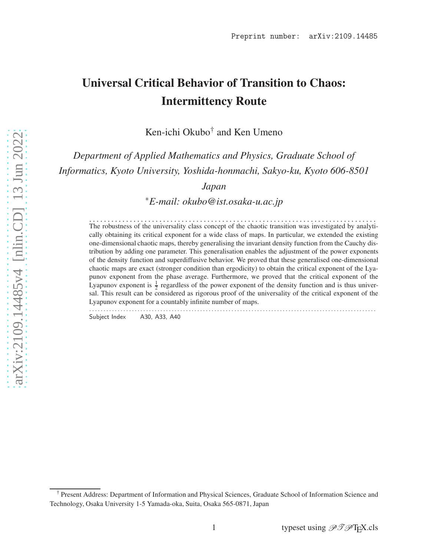# Universal Critical Behavior of Transition to Chaos: Intermittency Route

Ken-ichi Okubo† and Ken Umeno

*Department of Applied Mathematics and Physics, Graduate School of Informatics, Kyoto University, Yoshida-honmachi, Sakyo-ku, Kyoto 606-8501*

*Japan*

∗*E-mail: okubo@ist.osaka-u.ac.jp*

. . . . . . . . . . . . . . . . . . . . . . . . . . . . . . . . . . . . . . . . . . . . . . . . . . . . . . . . . . . . . . . . . . . . . . . . . . . . . . The robustness of the universality class concept of the chaotic transition was investigated by analytically obtaining its critical exponent for a wide class of maps. In particular, we extended the existing one-dimensional chaotic maps, thereby generalising the invariant density function from the Cauchy distribution by adding one parameter. This generalisation enables the adjustment of the power exponents of the density function and superdiffusive behavior. We proved that these generalised one-dimensional chaotic maps are exact (stronger condition than ergodicity) to obtain the critical exponent of the Lyapunov exponent from the phase average. Furthermore, we proved that the critical exponent of the Lyapunov exponent is  $\frac{1}{2}$  regardless of the power exponent of the density function and is thus universal. This result can be considered as rigorous proof of the universality of the critical exponent of the Lyapunov exponent for a countably infinite number of maps. . . . . . . . . . . . . . . . . . . . . . . . . . . . . . . . . . . . . . . . . . . . . . . . . . . . . . . . . . . . . . . . . . . . . . . . . . . . . . . . . . . . . . . . . . . . . . . . . . . . . .

Subject Index A30, A33, A40

<sup>†</sup> Present Address: Department of Information and Physical Sciences, Graduate School of Information Science and Technology, Osaka University 1-5 Yamada-oka, Suita, Osaka 565-0871, Japan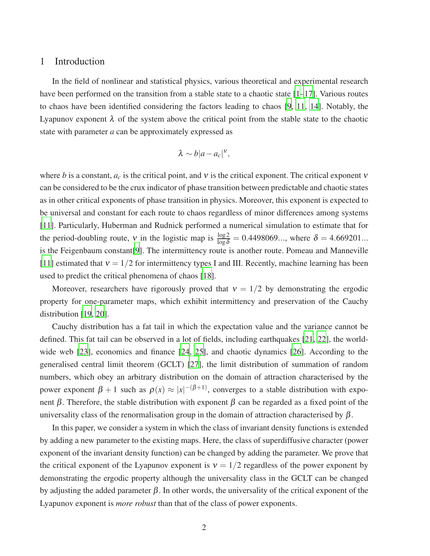#### 1 Introduction

In the field of nonlinear and statistical physics, various theoretical and experimental research have been performed on the transition from a stable state to a chaotic state  $[1-17]$ . Various routes to chaos have been identified considering the factors leading to chaos [\[9](#page-14-2), [11](#page-14-3), [14\]](#page-14-4). Notably, the Lyapunov exponent  $\lambda$  of the system above the critical point from the stable state to the chaotic state with parameter *a* can be approximately expressed as

$$
\lambda \sim b|a-a_c|^{\mathbf{v}},
$$

where *b* is a constant,  $a_c$  is the critical point, and v is the critical exponent. The critical exponent v can be considered to be the crux indicator of phase transition between predictable and chaotic states as in other critical exponents of phase transition in physics. Moreover, this exponent is expected to be universal and constant for each route to chaos regardless of minor differences among systems [\[11\]](#page-14-3). Particularly, Huberman and Rudnick performed a numerical simulation to estimate that for the period-doubling route, v in the logistic map is  $\frac{\log 2}{\log \delta} = 0.4498069...$ , where  $\delta = 4.669201...$ is the Feigenbaum constant[\[9\]](#page-14-2). The intermittency route is another route. Pomeau and Manneville [\[11\]](#page-14-3) estimated that  $v = 1/2$  for intermittency types I and III. Recently, machine learning has been used to predict the critical phenomena of chaos [\[18](#page-14-5)].

Moreover, researchers have rigorously proved that  $v = 1/2$  by demonstrating the ergodic property for one-parameter maps, which exhibit intermittency and preservation of the Cauchy distribution [\[19,](#page-14-6) [20\]](#page-14-7).

Cauchy distribution has a fat tail in which the expectation value and the variance cannot be defined. This fat tail can be observed in a lot of fields, including earthquakes [\[21](#page-14-8), [22](#page-14-9)], the worldwide web [\[23](#page-14-10)], economics and finance [\[24](#page-14-11), [25\]](#page-14-12), and chaotic dynamics [\[26\]](#page-14-13). According to the generalised central limit theorem (GCLT) [\[27\]](#page-14-14), the limit distribution of summation of random numbers, which obey an arbitrary distribution on the domain of attraction characterised by the power exponent  $\beta + 1$  such as  $\rho(x) \approx |x|^{-(\beta+1)}$ , converges to a stable distribution with exponent  $\beta$ . Therefore, the stable distribution with exponent  $\beta$  can be regarded as a fixed point of the universality class of the renormalisation group in the domain of attraction characterised by  $\beta$ .

In this paper, we consider a system in which the class of invariant density functions is extended by adding a new parameter to the existing maps. Here, the class of superdiffusive character (power exponent of the invariant density function) can be changed by adding the parameter. We prove that the critical exponent of the Lyapunov exponent is  $v = 1/2$  regardless of the power exponent by demonstrating the ergodic property although the universality class in the GCLT can be changed by adjusting the added parameter  $\beta$ . In other words, the universality of the critical exponent of the Lyapunov exponent is *more robust* than that of the class of power exponents.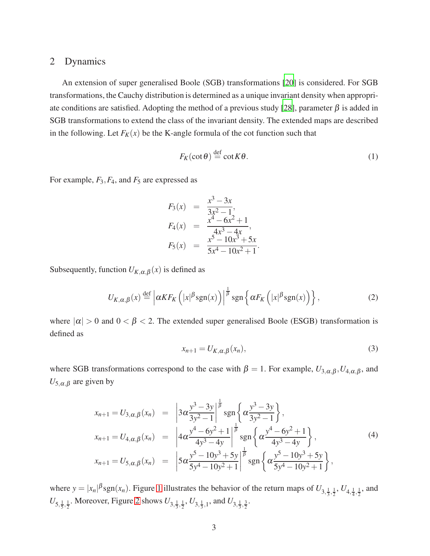#### 2 Dynamics

An extension of super generalised Boole (SGB) transformations [\[20](#page-14-7)] is considered. For SGB transformations, the Cauchy distribution is determined as a unique invariant density when appropri-ate conditions are satisfied. Adopting the method of a previous study [\[28\]](#page-14-15), parameter  $\beta$  is added in SGB transformations to extend the class of the invariant density. The extended maps are described in the following. Let  $F_K(x)$  be the K-angle formula of the cot function such that

$$
F_K(\cot \theta) \stackrel{\text{def}}{=} \cot K\theta. \tag{1}
$$

For example,  $F_3$ ,  $F_4$ , and  $F_5$  are expressed as

$$
F_3(x) = \frac{x^3 - 3x}{3x^2 - 1},
$$
  
\n
$$
F_4(x) = \frac{x^4 - 6x^2 + 1}{4x^3 - 4x},
$$
  
\n
$$
F_5(x) = \frac{x^5 - 10x^3 + 5x}{5x^4 - 10x^2 + 1}.
$$

Subsequently, function  $U_{K,\alpha,\beta}(x)$  is defined as

$$
U_{K,\alpha,\beta}(x) \stackrel{\text{def}}{=} \left| \alpha K F_K\left( |x|^\beta \text{sgn}(x) \right) \right|^\frac{1}{\beta} \text{sgn}\left\{ \alpha F_K\left( |x|^\beta \text{sgn}(x) \right) \right\},\tag{2}
$$

where  $|\alpha| > 0$  and  $0 < \beta < 2$ . The extended super generalised Boole (ESGB) transformation is defined as

$$
x_{n+1} = U_{K,\alpha,\beta}(x_n),\tag{3}
$$

where SGB transformations correspond to the case with  $\beta = 1$ . For example,  $U_{3,\alpha,\beta}, U_{4,\alpha,\beta}$ , and  $U_{5,\alpha,\beta}$  are given by

$$
x_{n+1} = U_{3,\alpha,\beta}(x_n) = \left| 3\alpha \frac{y^3 - 3y}{3y^2 - 1} \right|^{\frac{1}{\beta}} \operatorname{sgn}\left\{ \alpha \frac{y^3 - 3y}{3y^2 - 1} \right\},
$$
  
\n
$$
x_{n+1} = U_{4,\alpha,\beta}(x_n) = \left| 4\alpha \frac{y^4 - 6y^2 + 1}{4y^3 - 4y} \right|^{\frac{1}{\beta}} \operatorname{sgn}\left\{ \alpha \frac{y^4 - 6y^2 + 1}{4y^3 - 4y} \right\},
$$
  
\n
$$
x_{n+1} = U_{5,\alpha,\beta}(x_n) = \left| 5\alpha \frac{y^5 - 10y^3 + 5y}{5y^4 - 10y^2 + 1} \right|^{\frac{1}{\beta}} \operatorname{sgn}\left\{ \alpha \frac{y^5 - 10y^3 + 5y}{5y^4 - 10y^2 + 1} \right\},
$$
  
\n(4)

where  $y = |x_n|^{\beta} \text{sgn}(x_n)$ . Figure [1](#page-3-0) illustrates the behavior of the return maps of  $U_{3,\frac{1}{3},\frac{1}{2}}$ ,  $U_{4,\frac{1}{4},\frac{1}{2}}$ , and  $U_{5,\frac{1}{5},\frac{1}{2}}$ . Moreover, Figure [2](#page-3-1) shows  $U_{3,\frac{1}{3},\frac{1}{2}}$ ,  $U_{3,\frac{1}{3},1}$ , and  $U_{3,\frac{1}{3},\frac{3}{2}}$ .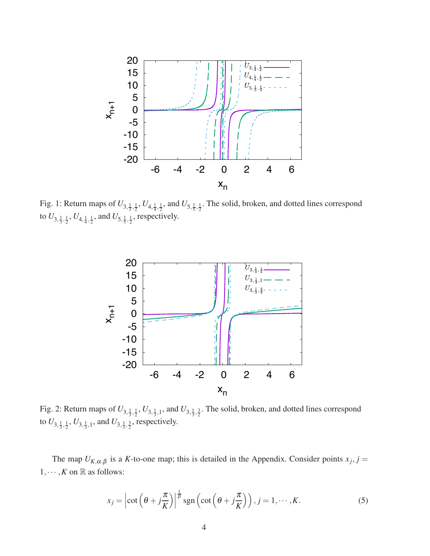<span id="page-3-0"></span>

<span id="page-3-1"></span>Fig. 1: Return maps of  $U_{3,\frac{1}{3},\frac{1}{2}}$ ,  $U_{4,\frac{1}{4},\frac{1}{2}}$ , and  $U_{5,\frac{1}{5},\frac{1}{2}}$ . The solid, broken, and dotted lines correspond to  $U_{3,\frac{1}{3},\frac{1}{2}}$ ,  $U_{4,\frac{1}{4},\frac{1}{2}}$ , and  $U_{5,\frac{1}{5},\frac{1}{2}}$ , respectively.



Fig. 2: Return maps of  $U_{3,\frac{1}{3},\frac{1}{2}}$ ,  $U_{3,\frac{1}{3},1}$ , and  $U_{3,\frac{1}{3},\frac{3}{2}}$ . The solid, broken, and dotted lines correspond to  $U_{3,\frac{1}{3},\frac{1}{2}}, U_{3,\frac{1}{3},1}$ , and  $U_{3,\frac{1}{3},\frac{3}{2}}$ , respectively.

The map  $U_{K,\alpha,\beta}$  is a *K*-to-one map; this is detailed in the Appendix. Consider points  $x_j$ ,  $j =$  $1, \dots, K$  on  $\mathbb R$  as follows:

$$
x_j = \left| \cot \left( \theta + j \frac{\pi}{K} \right) \right|^{1/2} \text{sgn} \left( \cot \left( \theta + j \frac{\pi}{K} \right) \right), j = 1, \cdots, K. \tag{5}
$$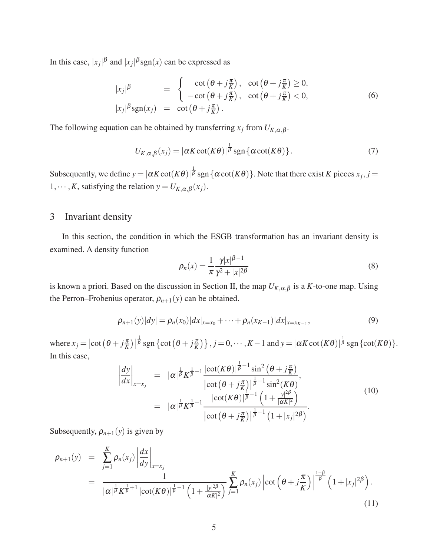In this case,  $|x_j|^{\beta}$  and  $|x_j|^{\beta}$ sgn(*x*) can be expressed as

$$
|x_j|^{\beta} = \begin{cases} \cot(\theta + j\frac{\pi}{K}), & \cot(\theta + j\frac{\pi}{K}) \ge 0, \\ -\cot(\theta + j\frac{\pi}{K}), & \cot(\theta + j\frac{\pi}{K}) < 0, \end{cases}
$$
(6)  

$$
|x_j|^{\beta}sgn(x_j) = \cot(\theta + j\frac{\pi}{K}).
$$

The following equation can be obtained by transferring  $x_j$  from  $U_{K,\alpha,\beta}$ .

$$
U_{K,\alpha,\beta}(x_j) = |\alpha K \cot(K\theta)|^{\frac{1}{\beta}} \operatorname{sgn}\left\{\alpha \cot(K\theta)\right\}.
$$
 (7)

Subsequently, we define  $y = |\alpha K \cot(K\theta)|^{\frac{1}{\beta}} \text{sgn} {\alpha \cot(K\theta)}$ . Note that there exist *K* pieces  $x_j$ ,  $j =$ 1,  $\cdots$ , *K*, satisfying the relation  $y = U_{K,\alpha,\beta}(x_j)$ .

#### 3 Invariant density

In this section, the condition in which the ESGB transformation has an invariant density is examined. A density function

<span id="page-4-0"></span>
$$
\rho_n(x) = \frac{1}{\pi} \frac{\gamma |x|^{\beta - 1}}{\gamma^2 + |x|^{2\beta}}
$$
\n(8)

is known a priori. Based on the discussion in Section II, the map  $U_{K,\alpha,\beta}$  is a *K*-to-one map. Using the Perron–Frobenius operator,  $\rho_{n+1}(y)$  can be obtained.

$$
\rho_{n+1}(y)|dy| = \rho_n(x_0)|dx|_{x=x_0} + \dots + \rho_n(x_{K-1})|dx|_{x=x_{K-1}},
$$
\n(9)

where  $x_j = \left| \cot \left( \theta + j \frac{\pi}{K} \right) \right|$  $\frac{1}{\beta}$  sgn {cot  $(\theta + j\frac{\pi}{K})$ },  $j = 0, \dots, K-1$  and  $y = |\alpha K \cot(K\theta)|^{\frac{1}{\beta}}$  sgn {cot(*K*θ)}. In this case,

$$
\left| \frac{dy}{dx} \right|_{x=x_j} = |\alpha|^{\frac{1}{\beta}} K^{\frac{1}{\beta}+1} \frac{|\cot(K\theta)|^{\frac{1}{\beta}-1} \sin^2(\theta + j\frac{\pi}{K})}{|\cot(\theta + j\frac{\pi}{K})|^{\frac{1}{\beta}-1} \sin^2(K\theta)},
$$
  
\n
$$
= |\alpha|^{\frac{1}{\beta}} K^{\frac{1}{\beta}+1} \frac{|\cot(K\theta)|^{\frac{1}{\beta}-1} \left(1 + \frac{|y|^{2\beta}}{|\alpha K|^2}\right)}{|\cot(\theta + j\frac{\pi}{K})|^{\frac{1}{\beta}-1} \left(1 + |x_j|^{2\beta}\right)}.
$$
\n(10)

Subsequently,  $\rho_{n+1}(y)$  is given by

$$
\rho_{n+1}(y) = \sum_{j=1}^{K} \rho_n(x_j) \left| \frac{dx}{dy} \right|_{x=x_j} \n= \frac{1}{|\alpha|^{\frac{1}{\beta}} K^{\frac{1}{\beta}+1} |\cot(K\theta)|^{\frac{1}{\beta}-1} \left(1 + \frac{|y|^{2\beta}}{|\alpha K|^2}\right)} \sum_{j=1}^{K} \rho_n(x_j) \left| \cot\left(\theta + j\frac{\pi}{K}\right) \right|^{\frac{1-\beta}{\beta}} \left(1 + |x_j|^{2\beta}\right).
$$
\n(11)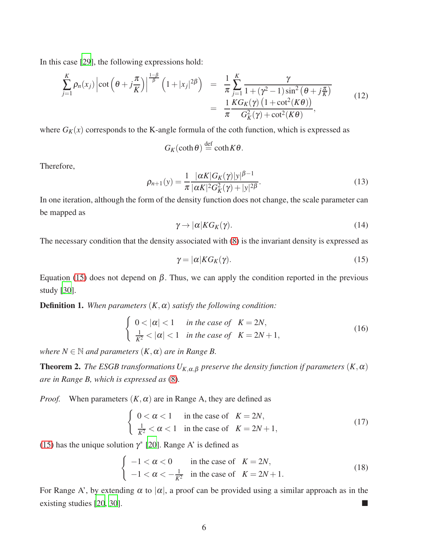In this case [\[29](#page-14-16)], the following expressions hold:

$$
\sum_{j=1}^{K} \rho_n(x_j) \left| \cot \left( \theta + j \frac{\pi}{K} \right) \right|^{-\beta} \left( 1 + |x_j|^{2\beta} \right) = \frac{1}{\pi} \sum_{j=1}^{K} \frac{\gamma}{1 + (\gamma^2 - 1) \sin^2 \left( \theta + j \frac{\pi}{K} \right)}
$$
\n
$$
= \frac{1}{\pi} \frac{KG_K(\gamma) \left( 1 + \cot^2(K\theta) \right)}{G_K^2(\gamma) + \cot^2(K\theta)},
$$
\n(12)

where  $G_K(x)$  corresponds to the K-angle formula of the coth function, which is expressed as

$$
G_K(\coth \theta) \stackrel{\text{def}}{=} \coth K\theta.
$$

Therefore,

$$
\rho_{n+1}(y) = \frac{1}{\pi} \frac{|\alpha K| G_K(\gamma)|y|^{\beta - 1}}{|\alpha K|^2 G_K^2(\gamma) + |y|^{2\beta}}.
$$
\n(13)

In one iteration, although the form of the density function does not change, the scale parameter can be mapped as

$$
\gamma \to |\alpha| K G_K(\gamma). \tag{14}
$$

The necessary condition that the density associated with [\(8\)](#page-4-0) is the invariant density is expressed as

<span id="page-5-0"></span>
$$
\gamma = |\alpha| K G_K(\gamma). \tag{15}
$$

Equation [\(15\)](#page-5-0) does not depend on  $β$ . Thus, we can apply the condition reported in the previous study [\[30\]](#page-14-17).

**Definition 1.** *When parameters*  $(K, \alpha)$  *satisfy the following condition:* 

$$
\begin{cases} 0 < |\alpha| < 1 & \text{in the case of} \quad K = 2N, \\ \frac{1}{K^2} < |\alpha| < 1 & \text{in the case of} \quad K = 2N + 1, \end{cases}
$$
 (16)

*where*  $N \in \mathbb{N}$  *and parameters*  $(K, \alpha)$  *are in Range B.* 

**Theorem 2.** *The ESGB transformations*  $U_{K,\alpha,\beta}$  *preserve the density function if parameters*  $(K,\alpha)$ *are in Range B, which is expressed as* [\(8\)](#page-4-0)*.*

*Proof.* When parameters  $(K, \alpha)$  are in Range A, they are defined as

$$
\begin{cases} 0 < \alpha < 1 & \text{in the case of} \quad K = 2N, \\ \frac{1}{K^2} < \alpha < 1 & \text{in the case of} \quad K = 2N + 1, \end{cases}
$$
 (17)

[\(15\)](#page-5-0) has the unique solution  $\gamma^*$  [\[20](#page-14-7)]. Range A' is defined as

$$
\begin{cases}\n-1 < \alpha < 0 \\
-1 < \alpha < -\frac{1}{K^2} \quad \text{in the case of} \quad K = 2N, \\
1 < \alpha < -\frac{1}{K^2}\n\end{cases}\n\tag{18}
$$

For Range A', by extending  $\alpha$  to  $|\alpha|$ , a proof can be provided using a similar approach as in the existing studies [\[20,](#page-14-7) [30\]](#page-14-17).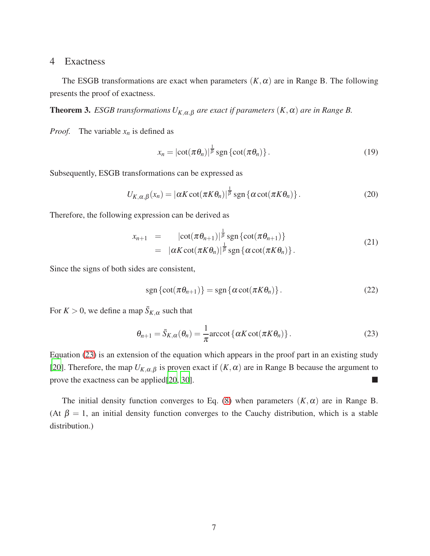#### 4 Exactness

The ESGB transformations are exact when parameters  $(K, \alpha)$  are in Range B. The following presents the proof of exactness.

**Theorem 3.** *ESGB transformations*  $U_{K,\alpha,\beta}$  *are exact if parameters*  $(K,\alpha)$  *are in Range B.* 

*Proof.* The variable  $x_n$  is defined as

$$
x_n = |\cot(\pi \theta_n)|^{\frac{1}{\beta}} \operatorname{sgn}\left\{ \cot(\pi \theta_n) \right\}.
$$
 (19)

Subsequently, ESGB transformations can be expressed as

$$
U_{K,\alpha,\beta}(x_n) = |\alpha K \cot(\pi K \theta_n)|^{\frac{1}{\beta}} \operatorname{sgn}\left\{\alpha \cot(\pi K \theta_n)\right\}.
$$
 (20)

Therefore, the following expression can be derived as

$$
x_{n+1} = |\cot(\pi \theta_{n+1})|^{\frac{1}{\beta}} \operatorname{sgn} {\cot(\pi \theta_{n+1})}
$$
  
=  $|\alpha K \cot(\pi K \theta_n)|^{\frac{1}{\beta}} \operatorname{sgn} {\alpha \cot(\pi K \theta_n)}.$  (21)

Since the signs of both sides are consistent,

$$
\operatorname{sgn}\left\{\cot(\pi\theta_{n+1})\right\} = \operatorname{sgn}\left\{\alpha\cot(\pi K\theta_n)\right\}.
$$
 (22)

For  $K > 0$ , we define a map  $\bar{S}_{K,\alpha}$  such that

<span id="page-6-0"></span>
$$
\theta_{n+1} = \bar{S}_{K,\alpha}(\theta_n) = \frac{1}{\pi} \operatorname{arccot} \{ \alpha K \cot(\pi K \theta_n) \}.
$$
 (23)

Equation [\(23\)](#page-6-0) is an extension of the equation which appears in the proof part in an existing study [\[20\]](#page-14-7). Therefore, the map  $U_{K,\alpha,\beta}$  is proven exact if  $(K,\alpha)$  are in Range B because the argument to prove the exactness can be applied[\[20](#page-14-7), [30\]](#page-14-17).

The initial density function converges to Eq. [\(8\)](#page-4-0) when parameters  $(K, \alpha)$  are in Range B. (At  $\beta = 1$ , an initial density function converges to the Cauchy distribution, which is a stable distribution.)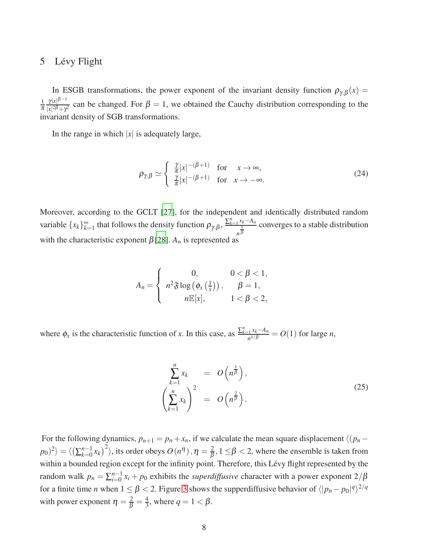#### 5 Lévy Flight

In ESGB transformations, the power exponent of the invariant density function  $\rho_{\gamma,\beta}(x) =$  $\frac{1}{\pi} \frac{\gamma |x|^{\beta - 1}}{|x|^2 \beta + \gamma^2}$  $\frac{\gamma |x|^p}{|x|^{2\beta} + \gamma^2}$  can be changed. For  $\beta = 1$ , we obtained the Cauchy distribution corresponding to the invariant density of SGB transformations.

In the range in which  $|x|$  is adequately large,

$$
\rho_{\gamma,\beta} \simeq \begin{cases} \frac{\gamma}{\pi} |x|^{-(\beta+1)} & \text{for } x \to \infty, \\ \frac{\gamma}{\pi} |x|^{-(\beta+1)} & \text{for } x \to -\infty. \end{cases}
$$
 (24)

Moreover, according to the GCLT [\[27\]](#page-14-14), for the independent and identically distributed random variable  $\{x_k\}_{k=1}^{\infty}$  $\sum_{k=1}^{\infty}$  that follows the density function  $\rho_{\gamma,\beta}$ ,  $\frac{\sum_{k=1}^{n} x_k - A_n}{\frac{1}{\beta}}$  $\frac{1}{\ln \beta}$  converges to a stable distribution with the characteristic exponent  $\beta$ [\[28\]](#page-14-15).  $A_n$  is represented as

$$
A_n = \begin{cases} 0, & 0 < \beta < 1, \\ n^2 \mathfrak{F} \log \left( \phi_x \left( \frac{1}{x} \right) \right), & \beta = 1, \\ n \mathbb{E}[x], & 1 < \beta < 2, \end{cases}
$$

where  $\phi_x$  is the characteristic function of *x*. In this case, as  $\frac{\sum_{k=1}^{n} x_k - A_n}{n^{1/\beta}}$  $\frac{1}{n^{1/\beta}}$  =  $O(1)$  for large *n*,

$$
\sum_{k=1}^{n} x_k = O\left(n^{\frac{1}{\beta}}\right),
$$
\n
$$
\left(\sum_{k=1}^{n} x_k\right)^2 = O\left(n^{\frac{2}{\beta}}\right).
$$
\n(25)

For the following dynamics,  $p_{n+1} = p_n + x_n$ , if we calculate the mean square displacement  $\langle (p_n - p) \rangle$  $|p_0)^2\rangle = \langle \left(\sum_{k=0}^{n-1} x_k\right)^2\rangle$ , its order obeys  $O(n^{\eta})$  ,  $\eta = \frac{2}{\beta}$  $\frac{2}{\beta}$ , 1  $\leq$  β  $<$  2, where the ensemble is taken from within a bounded region except for the infinity point. Therefore, this Lévy flight represented by the random walk  $p_n = \sum_{i=0}^{n-1} x_i + p_0$  exhibits the *superdiffusive* character with a power exponent  $2/\beta$ for a finite time *n* when  $1 \leq \beta < 2$ . Figure [3](#page-8-0) shows the supperdiffusive behavior of  $\langle |p_n - p_0|^q \rangle^{2/q}$ with power exponent  $\eta = \frac{2}{\beta} = \frac{4}{3}$  $\frac{4}{3}$ , where  $q = 1 < \beta$ .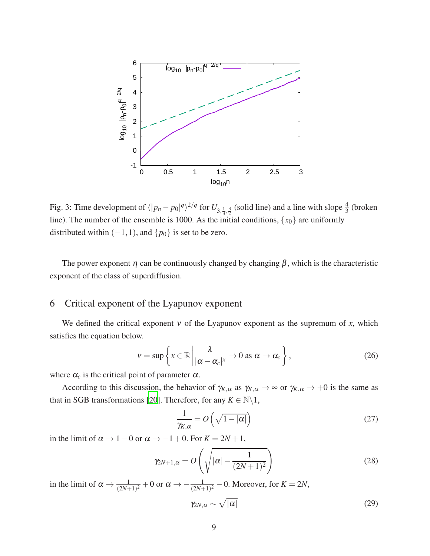<span id="page-8-0"></span>

Fig. 3: Time development of  $\langle |p_n - p_0|^q \rangle^{2/q}$  for  $U_{3, \frac{1}{3}, \frac{3}{2}}$  (solid line) and a line with slope  $\frac{4}{3}$  (broken line). The number of the ensemble is 1000. As the initial conditions,  $\{x_0\}$  are uniformly distributed within  $(-1,1)$ , and  $\{p_0\}$  is set to be zero.

The power exponent  $\eta$  can be continuously changed by changing  $\beta$ , which is the characteristic exponent of the class of superdiffusion.

#### 6 Critical exponent of the Lyapunov exponent

We defined the critical exponent  $v$  of the Lyapunov exponent as the supremum of  $x$ , which satisfies the equation below.

$$
v = \sup \left\{ x \in \mathbb{R} \, \middle| \, \frac{\lambda}{|\alpha - \alpha_c|^x} \to 0 \text{ as } \alpha \to \alpha_c \right\},\tag{26}
$$

where  $\alpha_c$  is the critical point of parameter  $\alpha$ .

According to this discussion, the behavior of  $\gamma_{K,\alpha}$  as  $\gamma_{K,\alpha} \to \infty$  or  $\gamma_{K,\alpha} \to +0$  is the same as that in SGB transformations [\[20](#page-14-7)]. Therefore, for any  $K \in \mathbb{N} \backslash 1$ ,

$$
\frac{1}{\gamma_{K,\alpha}} = O\left(\sqrt{1 - |\alpha|}\right) \tag{27}
$$

in the limit of  $\alpha \rightarrow 1-0$  or  $\alpha \rightarrow -1+0$ . For  $K = 2N + 1$ ,

$$
\gamma_{2N+1,\alpha} = O\left(\sqrt{|\alpha| - \frac{1}{(2N+1)^2}}\right)
$$
\n(28)

in the limit of  $\alpha \to \frac{1}{(2N+1)^2} + 0$  or  $\alpha \to -\frac{1}{(2N+1)^2} - 0$ . Moreover, for  $K = 2N$ ,

<span id="page-8-1"></span>
$$
\gamma_{2N,\alpha} \sim \sqrt{|\alpha|} \tag{29}
$$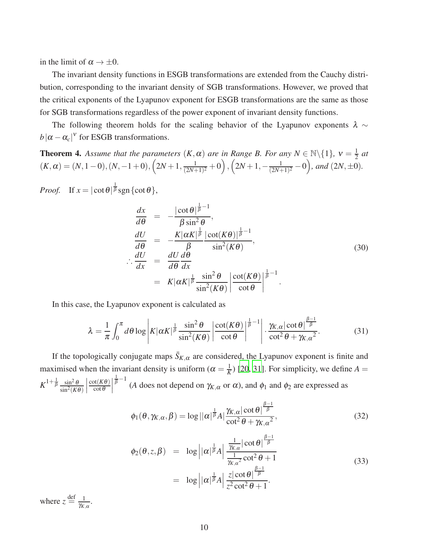in the limit of  $\alpha \rightarrow \pm 0$ .

The invariant density functions in ESGB transformations are extended from the Cauchy distribution, corresponding to the invariant density of SGB transformations. However, we proved that the critical exponents of the Lyapunov exponent for ESGB transformations are the same as those for SGB transformations regardless of the power exponent of invariant density functions.

The following theorem holds for the scaling behavior of the Lyapunov exponents  $\lambda \sim$  $b | \alpha - \alpha_c |^V$  for ESGB transformations.

<span id="page-9-0"></span>**Theorem 4.** Assume that the parameters  $(K, \alpha)$  are in Range B. For any  $N \in \mathbb{N} \setminus \{1\}$ ,  $v = \frac{1}{2}$  $rac{1}{2}$  *at*  $(K, \alpha) = (N, 1-0), (N, -1+0), (2N+1, \frac{1}{(2N+1)}$  $\frac{1}{(2N+1)^2} + 0$ ),  $\left(2N+1, -\frac{1}{(2N+1)}\right)$  $\frac{1}{(2N+1)^2} - 0$ , and  $(2N, \pm 0)$ .

*Proof.* If  $x = |\cot \theta|^{\frac{1}{\beta}} \text{sgn} \{\cot \theta\},\$ 

$$
\frac{dx}{d\theta} = -\frac{|\cot \theta|^{\frac{1}{\beta}-1}}{\beta \sin^2 \theta},
$$
\n
$$
\frac{dU}{d\theta} = -\frac{K|\alpha K|^{\frac{1}{\beta}}|\cot(K\theta)|^{\frac{1}{\beta}-1}}{\beta \sin^2(K\theta)},
$$
\n
$$
\therefore \frac{dU}{dx} = \frac{dU}{d\theta} \frac{d\theta}{dx}
$$
\n
$$
= K|\alpha K|^{\frac{1}{\beta}} \frac{\sin^2 \theta}{\sin^2(K\theta)} \left| \frac{\cot(K\theta)}{\cot \theta} \right|^{\frac{1}{\beta}-1}.
$$
\n(30)

In this case, the Lyapunov exponent is calculated as

$$
\lambda = \frac{1}{\pi} \int_0^{\pi} d\theta \log \left| K|\alpha K|^{\frac{1}{\beta}} \frac{\sin^2 \theta}{\sin^2(K\theta)} \left| \frac{\cot(K\theta)}{\cot \theta} \right|^{\frac{1}{\beta}-1} \right| \cdot \frac{\gamma_{K,\alpha} |\cot \theta|^{\frac{\beta-1}{\beta}}}{\cot^2 \theta + \gamma_{K,\alpha}^2}.
$$
(31)

If the topologically conjugate maps  $\bar{S}_{K,\alpha}$  are considered, the Lyapunov exponent is finite and maximised when the invariant density is uniform ( $\alpha = \frac{1}{k}$ )  $\frac{1}{K}$ ) [\[20](#page-14-7), [31](#page-14-18)]. For simplicity, we define *A* =  $K^{1+\frac{1}{\beta}} \frac{\sin^2 \theta}{\sin^2(\theta)}$  $\sin^2(K\theta)$  $\begin{array}{c} \begin{array}{c} \begin{array}{c} \end{array}\\ \begin{array}{c} \end{array} \end{array} \end{array}$ cot(*K*θ)  $\cot \theta$  $\begin{array}{c} \begin{array}{c} \begin{array}{c} \end{array}\\ \begin{array}{c} \end{array} \end{array} \end{array}$  $\frac{1}{\beta}$ <sup>-1</sup> (*A* does not depend on γ<sub>K,α</sub> or α), and φ<sub>1</sub> and φ<sub>2</sub> are expressed as

$$
\phi_1(\theta, \gamma_{K,\alpha}, \beta) = \log ||\alpha|^{\frac{1}{\beta}} A| \frac{\gamma_{K,\alpha} |\cot \theta|^{\frac{\beta-1}{\beta}}}{\cot^2 \theta + \gamma_{K,\alpha}^2},
$$
\n(32)

$$
\begin{array}{rcl}\n\phi_2(\theta, z, \beta) & = & \log \left| |\alpha|^{\frac{1}{\beta}} A \right| \frac{\frac{1}{\gamma_{K,\alpha}} |\cot \theta|^{\frac{\beta-1}{\beta}}}{\frac{1}{\gamma_{K,\alpha}^2} \cot^2 \theta + 1} \\
& = & \log \left| |\alpha|^{\frac{1}{\beta}} A \right| \frac{z |\cot \theta|^{\frac{\beta-1}{\beta}}}{z^2 \cot^2 \theta + 1}.\n\end{array}\n\tag{33}
$$

where  $z \stackrel{\text{def}}{=} \frac{1}{\gamma_k}$  $\frac{1}{\gamma_{K,\alpha}}$ .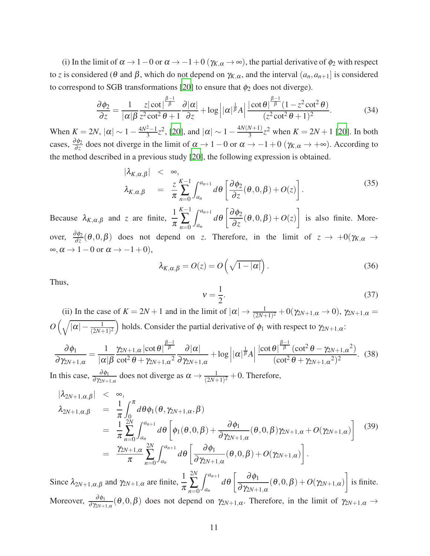(i) In the limit of  $\alpha \to 1-0$  or  $\alpha \to -1+0$  ( $\gamma_{K,\alpha} \to \infty$ ), the partial derivative of  $\phi_2$  with respect to *z* is considered (θ and β, which do not depend on  $\gamma_{K,\alpha}$ , and the interval  $(a_n, a_{n+1}]$  is considered to correspond to SGB transformations [\[20\]](#page-14-7) to ensure that  $\phi_2$  does not diverge).

$$
\frac{\partial \phi_2}{\partial z} = \frac{1}{|\alpha| \beta} \frac{z |\cot|^{\frac{\beta-1}{\beta}}}{z^2 \cot^2 \theta + 1} \frac{\partial |\alpha|}{\partial z} + \log \left| |\alpha|^{\frac{1}{\beta}} A \right| \frac{|\cot \theta|^{\frac{\beta-1}{\beta}} (1 - z^2 \cot^2 \theta)}{(z^2 \cot^2 \theta + 1)^2}.
$$
(34)

When  $K = 2N$ ,  $|\alpha| \sim 1 - \frac{4N^2 - 1}{3}z^2$ , [\[20](#page-14-7)], and  $|\alpha| \sim 1 - \frac{4N(N+1)}{3}$  $\frac{N+1}{3}z^2$  when  $K = 2N + 1$  [\[20\]](#page-14-7). In both cases,  $\frac{\partial \phi_2}{\partial z}$  $\frac{\partial \varphi_2}{\partial z}$  does not diverge in the limit of  $\alpha \to 1-0$  or  $\alpha \to -1+0$  ( $\gamma_{K,\alpha} \to +\infty$ ). According to the method described in a previous study [\[20](#page-14-7)], the following expression is obtained.

$$
|\lambda_{K,\alpha,\beta}| \leq \infty, \lambda_{K,\alpha,\beta} = \frac{z}{\pi} \sum_{n=0}^{K-1} \int_{a_n}^{a_{n+1}} d\theta \left[ \frac{\partial \phi_2}{\partial z}(\theta, 0, \beta) + O(z) \right].
$$
\n(35)

Because  $\lambda_{K,\alpha,\beta}$  and *z* are finite,  $\frac{1}{\pi}$ *K*−1 ∑ *n*=0  $\int^{a_{n+1}}$ *an*  $d\theta\Big[\frac{\partial \phi_2}{\partial}$  $\left[\frac{\partial \phi_2}{\partial z}(\theta,0,\beta)+O(z)\right]$ is also finite. Moreover,  $\frac{\partial \phi_2}{\partial z}$  $\frac{\partial \varphi_2}{\partial z}(\theta,0,\beta)$  does not depend on *z*. Therefore, in the limit of  $z \to +0(\gamma_{K,\alpha} \to +\infty)$  $\infty, \alpha \to 1-0$  or  $\alpha \to -1+0$ ),

$$
\lambda_{K,\alpha,\beta} = O(z) = O\left(\sqrt{1-|\alpha|}\right). \tag{36}
$$

Thus,

<span id="page-10-0"></span>
$$
v = \frac{1}{2}.\tag{37}
$$

(ii) In the case of  $K = 2N + 1$  and in the limit of  $|\alpha| \to \frac{1}{(2N+1)^2} + O(\gamma_{2N+1}, \alpha \to 0)$ ,  $\gamma_{2N+1}, \alpha =$  $O\left(\sqrt{|\alpha| - \frac{1}{(2N+1)^2}}\right)$  holds. Consider the partial derivative of  $\phi_1$  with respect to  $\gamma_{2N+1,\alpha}$ :  $\partial \phi_1$ ∂γ2*N*+1,<sup>α</sup> = 1  $|\alpha|\beta$  $\gamma_{2N+1,\alpha}\left|\cot\theta\right|^{\frac{\beta-1}{\beta}}$ cot<sup>2</sup> <sup>θ</sup> +γ2*N*+1,<sup>α</sup> 2  $\partial |\alpha|$ ∂γ2*N*+1,<sup>α</sup>  $+\log\left|\alpha\right|$  $\frac{1}{\beta}$ A  $|\cot \theta| \frac{\beta-1}{\beta} (\cot^2 \theta - \gamma_{2N+1,\alpha}^2)$  $\frac{(\cot^2 \theta + \gamma_{2N+1,\alpha})}{(\cot^2 \theta + \gamma_{2N+1,\alpha}^2)^2}$ . (38)

In this case,  $\frac{\partial \phi_1}{\partial \gamma_{2N+1,\alpha}}$  does not diverge as  $\alpha \to \frac{1}{(2N+1)^2} + 0$ . Therefore,

$$
\begin{split}\n|\lambda_{2N+1,\alpha,\beta}| &\leq \infty, \\
\lambda_{2N+1,\alpha,\beta} &= \frac{1}{\pi} \int_0^{\pi} d\theta \phi_1(\theta, \gamma_{2N+1,\alpha}, \beta) \\
&= \frac{1}{\pi} \sum_{n=0}^{2N} \int_{a_n}^{a_{n+1}} d\theta \left[ \phi_1(\theta, 0, \beta) + \frac{\partial \phi_1}{\partial \gamma_{2N+1,\alpha}} (\theta, 0, \beta) \gamma_{2N+1,\alpha} + O(\gamma_{2N+1,\alpha}) \right] \tag{39} \\
&= \frac{\gamma_{2N+1,\alpha}}{\pi} \sum_{n=0}^{2N} \int_{a_n}^{a_{n+1}} d\theta \left[ \frac{\partial \phi_1}{\partial \gamma_{2N+1,\alpha}} (\theta, 0, \beta) + O(\gamma_{2N+1,\alpha}) \right].\n\end{split}
$$

Since  $\lambda_{2N+1,\alpha,\beta}$  and  $\gamma_{2N+1,\alpha}$  are finite,  $\frac{1}{\pi}$ 2*N* ∑ *n*=0  $\int^{a_{n+1}}$ *an*  $d\theta$   $\left[\frac{\partial \phi_1}{\partial x}\right]$ ∂γ2*N*+1,<sup>α</sup>  $(\theta,0,\beta)+O(\gamma_{2N+1,\alpha})\bigg]$ is finite. Moreover,  $\frac{\partial \phi_1}{\partial \gamma_{2N+1,\alpha}}(\theta,0,\beta)$  does not depend on  $\gamma_{2N+1,\alpha}$ . Therefore, in the limit of  $\gamma_{2N+1,\alpha} \to$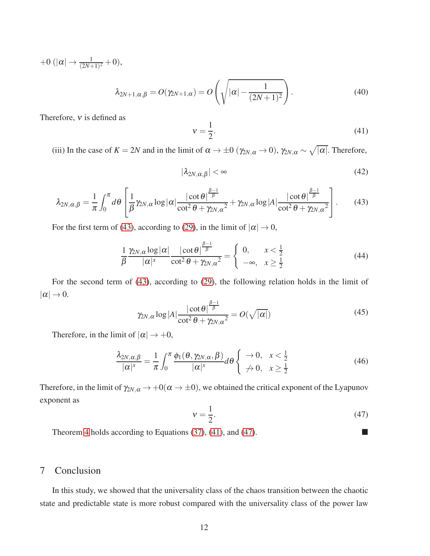$+0 \ (|\alpha| \to \frac{1}{(2N+1)^2} + 0),$ 

$$
\lambda_{2N+1,\alpha,\beta} = O(\gamma_{2N+1,\alpha}) = O\left(\sqrt{|\alpha| - \frac{1}{(2N+1)^2}}\right).
$$
\n(40)

Therefore,  $v$  is defined as

<span id="page-11-1"></span>
$$
v = \frac{1}{2}.\tag{41}
$$

(iii) In the case of  $K = 2N$  and in the limit of  $\alpha \to \pm 0$  ( $\gamma_{2N,\alpha} \to 0$ ),  $\gamma_{2N,\alpha} \sim \sqrt{|\alpha|}$ . Therefore,

$$
|\lambda_{2N,\alpha,\beta}| < \infty \tag{42}
$$

<span id="page-11-0"></span>
$$
\lambda_{2N,\alpha,\beta} = \frac{1}{\pi} \int_0^{\pi} d\theta \left[ \frac{1}{\beta} \gamma_{2N,\alpha} \log |\alpha| \frac{|\cot \theta|^{\frac{\beta-1}{\beta}}}{\cot^2 \theta + \gamma_{2N,\alpha}^2} + \gamma_{2N,\alpha} \log |A| \frac{|\cot \theta|^{\frac{\beta-1}{\beta}}}{\cot^2 \theta + \gamma_{2N,\alpha}^2} \right].
$$
 (43)

For the first term of [\(43\)](#page-11-0), according to [\(29\)](#page-8-1), in the limit of  $|\alpha| \to 0$ ,

$$
\frac{1}{\beta} \frac{\gamma_{2N,\alpha} \log |\alpha|}{|\alpha|^x} \frac{|\cot \theta|^{\frac{\beta-1}{\beta}}}{\cot^2 \theta + \gamma_{2N,\alpha}^2} = \begin{cases} 0, & x < \frac{1}{2} \\ -\infty, & x \ge \frac{1}{2} \end{cases} \tag{44}
$$

For the second term of [\(43\)](#page-11-0), according to [\(29\)](#page-8-1), the following relation holds in the limit of  $|\alpha| \rightarrow 0.$ 

$$
\gamma_{2N,\alpha}\log|A|\frac{|\cot\theta|^{\frac{\beta-1}{\beta}}}{\cot^2\theta+\gamma_{2N,\alpha}^2}=O(\sqrt{|\alpha|})
$$
\n(45)

Therefore, in the limit of  $|\alpha| \rightarrow +0$ ,

$$
\frac{\lambda_{2N,\alpha,\beta}}{|\alpha|^x} = \frac{1}{\pi} \int_0^{\pi} \frac{\phi_1(\theta, \gamma_{2N,\alpha}, \beta)}{|\alpha|^x} d\theta \begin{cases} \rightarrow 0, & x < \frac{1}{2} \\ \not\rightarrow 0, & x \ge \frac{1}{2} \end{cases}
$$
(46)

Therefore, in the limit of  $\gamma_{2N,\alpha} \to +0(\alpha \to \pm 0)$ , we obtained the critical exponent of the Lyapunov exponent as

<span id="page-11-2"></span>
$$
v = \frac{1}{2}.\tag{47}
$$

Theorem [4](#page-9-0) holds according to Equations [\(37\)](#page-10-0), [\(41\)](#page-11-1), and [\(47\)](#page-11-2).

### 7 Conclusion

In this study, we showed that the universality class of the chaos transition between the chaotic state and predictable state is more robust compared with the universality class of the power law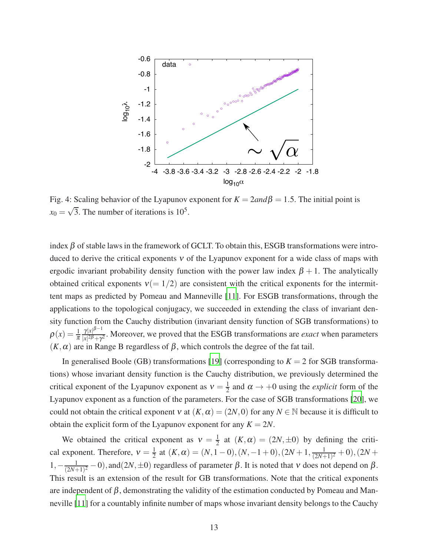

Fig. 4: Scaling behavior of the Lyapunov exponent for  $K = 2and\beta = 1.5$ . The initial point is  $x_0 = \sqrt{3}$ . The number of iterations is 10<sup>5</sup>.

index  $\beta$  of stable laws in the framework of GCLT. To obtain this, ESGB transformations were introduced to derive the critical exponents  $v$  of the Lyapunov exponent for a wide class of maps with ergodic invariant probability density function with the power law index  $\beta + 1$ . The analytically obtained critical exponents  $v(= 1/2)$  are consistent with the critical exponents for the intermittent maps as predicted by Pomeau and Manneville [\[11](#page-14-3)]. For ESGB transformations, through the applications to the topological conjugacy, we succeeded in extending the class of invariant density function from the Cauchy distribution (invariant density function of SGB transformations) to  $\rho(x) = \frac{1}{\pi} \frac{\gamma |x|^{\beta-1}}{|x|^{2\beta}+x}$  $\frac{\gamma |x|^{\gamma}}{|x|^{2\beta} + \gamma^2}$ . Moreover, we proved that the ESGB transformations are *exact* when parameters  $(K, \alpha)$  are in Range B regardless of  $\beta$ , which controls the degree of the fat tail.

In generalised Boole (GB) transformations [\[19](#page-14-6)] (corresponding to  $K = 2$  for SGB transformations) whose invariant density function is the Cauchy distribution, we previously determined the critical exponent of the Lyapunov exponent as  $v = \frac{1}{2}$  $\frac{1}{2}$  and  $\alpha \rightarrow +0$  using the *explicit* form of the Lyapunov exponent as a function of the parameters. For the case of SGB transformations [\[20\]](#page-14-7), we could not obtain the critical exponent v at  $(K, \alpha) = (2N, 0)$  for any  $N \in \mathbb{N}$  because it is difficult to obtain the explicit form of the Lyapunov exponent for any  $K = 2N$ .

We obtained the critical exponent as  $v = \frac{1}{2}$  $\frac{1}{2}$  at  $(K, \alpha) = (2N, \pm 0)$  by defining the critical exponent. Therefore,  $v = \frac{1}{2}$  $\frac{1}{2}$  at  $(K, \alpha) = (N, 1-0), (N, -1+0), (2N+1, \frac{1}{(2N+1)}$  $\frac{1}{(2N+1)^2}$  + 0), (2*N* +  $1, -\frac{1}{(2N+1)}$  $\frac{1}{(2N+1)^2}$  – 0), and  $(2N, \pm 0)$  regardless of parameter  $\beta$ . It is noted that v does not depend on  $\beta$ . This result is an extension of the result for GB transformations. Note that the critical exponents are independent of  $\beta$ , demonstrating the validity of the estimation conducted by Pomeau and Manneville [\[11\]](#page-14-3) for a countably infinite number of maps whose invariant density belongs to the Cauchy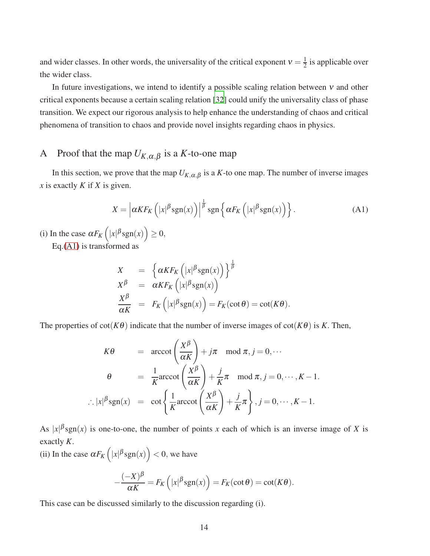and wider classes. In other words, the universality of the critical exponent  $v = \frac{1}{2}$  $\frac{1}{2}$  is applicable over the wider class.

In future investigations, we intend to identify a possible scaling relation between  $v$  and other critical exponents because a certain scaling relation [\[32\]](#page-14-19) could unify the universality class of phase transition. We expect our rigorous analysis to help enhance the understanding of chaos and critical phenomena of transition to chaos and provide novel insights regarding chaos in physics.

## A Proof that the map  $U_{K,\alpha,\beta}$  is a *K*-to-one map

In this section, we prove that the map  $U_{K,\alpha,\beta}$  is a *K*-to one map. The number of inverse images *x* is exactly *K* if *X* is given.

<span id="page-13-0"></span>
$$
X = \left| \alpha K F_K \left( |x|^\beta \text{sgn}(x) \right) \right|^\frac{1}{\beta} \text{sgn}\left\{ \alpha F_K \left( |x|^\beta \text{sgn}(x) \right) \right\}.
$$
 (A1)

(i) In the case  $\alpha F_K\left(|x|^{\beta}sgn(x)\right) \geq 0$ , Eq.[\(A1\)](#page-13-0) is transformed as

$$
X = \left\{ \alpha K F_K \left( |x|^{\beta} \text{sgn}(x) \right) \right\}^{\frac{1}{\beta}}
$$
  
\n
$$
X^{\beta} = \alpha K F_K \left( |x|^{\beta} \text{sgn}(x) \right)
$$
  
\n
$$
\frac{X^{\beta}}{\alpha K} = F_K \left( |x|^{\beta} \text{sgn}(x) \right) = F_K(\cot \theta) = \cot(K\theta).
$$

The properties of  $cot(K\theta)$  indicate that the number of inverse images of  $cot(K\theta)$  is *K*. Then,

$$
K\theta = \operatorname{arccot}\left(\frac{X^{\beta}}{\alpha K}\right) + j\pi \mod \pi, j = 0, \cdots
$$

$$
\theta = \frac{1}{K} \operatorname{arccot}\left(\frac{X^{\beta}}{\alpha K}\right) + \frac{j}{K}\pi \mod \pi, j = 0, \cdots, K - 1.
$$

$$
\therefore |x|^{\beta} \operatorname{sgn}(x) = \cot\left\{\frac{1}{K} \operatorname{arccot}\left(\frac{X^{\beta}}{\alpha K}\right) + \frac{j}{K}\pi\right\}, j = 0, \cdots, K - 1.
$$

As  $|x|$ <sup> $\beta$ </sup>sgn(*x*) is one-to-one, the number of points *x* each of which is an inverse image of *X* is exactly *K*.

(ii) In the case  $\alpha F_K\left(|x|^\beta \text{sgn}(x)\right) < 0$ , we have

$$
-\frac{(-X)^{\beta}}{\alpha K} = F_K\left(|x|^{\beta} \operatorname{sgn}(x)\right) = F_K(\cot \theta) = \cot(K\theta).
$$

This case can be discussed similarly to the discussion regarding (i).